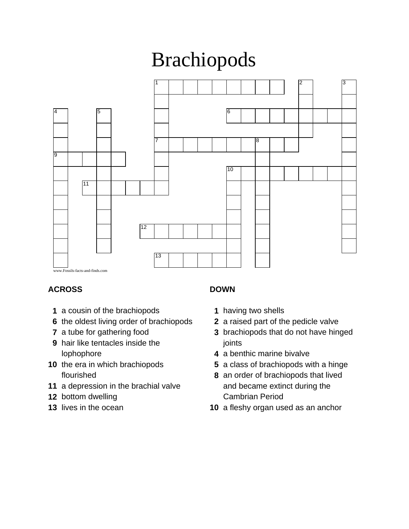## Brachiopods



## **ACROSS**

- a cousin of the brachiopods
- the oldest living order of brachiopods
- a tube for gathering food
- hair like tentacles inside the lophophore
- the era in which brachiopods flourished
- a depression in the brachial valve
- bottom dwelling
- lives in the ocean

## **DOWN**

- having two shells
- a raised part of the pedicle valve
- brachiopods that do not have hinged joints
- a benthic marine bivalve
- a class of brachiopods with a hinge
- an order of brachiopods that lived and became extinct during the Cambrian Period
- a fleshy organ used as an anchor